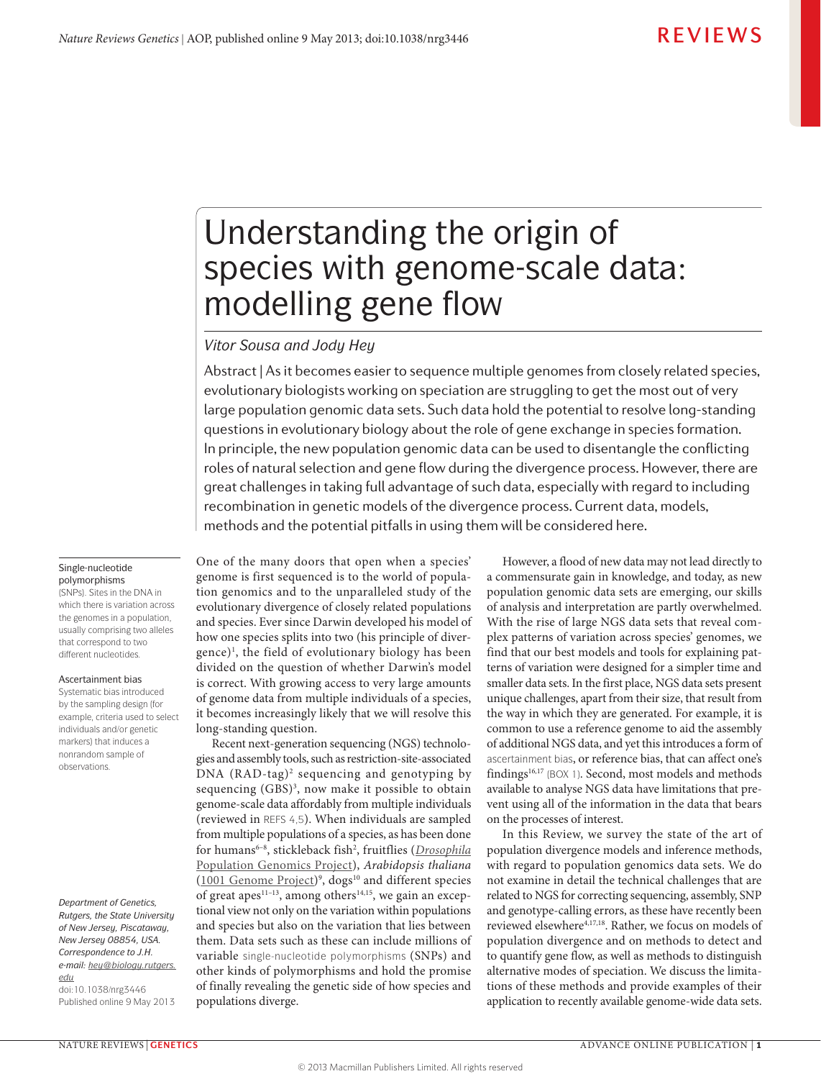# Understanding the origin of species with genome-scale data: modelling gene flow

# *Vitor Sousa and Jody Hey*

Abstract | As it becomes easier to sequence multiple genomes from closely related species, evolutionary biologists working on speciation are struggling to get the most out of very large population genomic data sets. Such data hold the potential to resolve long-standing questions in evolutionary biology about the role of gene exchange in species formation. In principle, the new population genomic data can be used to disentangle the conflicting roles of natural selection and gene flow during the divergence process. However, there are great challenges in taking full advantage of such data, especially with regard to including recombination in genetic models of the divergence process. Current data, models, methods and the potential pitfalls in using them will be considered here.

### Single-nucleotide polymorphisms

(SNPs). Sites in the DNA in which there is variation across the genomes in a population, usually comprising two alleles that correspond to two different nucleotides.

#### Ascertainment bias

Systematic bias introduced by the sampling design (for example, criteria used to select individuals and/or genetic markers) that induces a nonrandom sample of observations.

*Department of Genetics, Rutgers, the State University of New Jersey, Piscataway, New Jersey 08854, USA. Correspondence to J.H. e-mail: [hey@biology.rutgers.](mailto:hey@biology.rutgers.edu) [edu](mailto:hey@biology.rutgers.edu)* doi:10.1038/nrg3446 Published online 9 May 2013

One of the many doors that open when a species' genome is first sequenced is to the world of population genomics and to the unparalleled study of the evolutionary divergence of closely related populations and species. Ever since Darwin developed his model of how one species splits into two (his principle of divergence)1 , the field of evolutionary biology has been divided on the question of whether Darwin's model is correct. With growing access to very large amounts of genome data from multiple individuals of a species, it becomes increasingly likely that we will resolve this long-standing question.

Recent next-generation sequencing (NGS) technologies and assembly tools, such as restriction-site-associated DNA (RAD-tag)<sup>2</sup> sequencing and genotyping by sequencing (GBS)3 , now make it possible to obtain genome-scale data affordably from multiple individuals (reviewed in REFS 4,5). When individuals are sampled from multiple populations of a species, as has been done for humans<sup>6-8</sup>, stickleback fish<sup>2</sup>, fruitflies (<u>[Drosophila](http://www.dpgp.org/)</u> [Population Genomics Project\)](http://www.dpgp.org/), *Arabidopsis thaliana* ([1001 Genome Project\)](http://www.1001genomes.org/)<sup>9</sup>, dogs<sup>10</sup> and different species of great apes $11-13$ , among others $14,15$ , we gain an exceptional view not only on the variation within populations and species but also on the variation that lies between them. Data sets such as these can include millions of variable single-nucleotide polymorphisms (SNPs) and other kinds of polymorphisms and hold the promise of finally revealing the genetic side of how species and populations diverge.

However, a flood of new data may not lead directly to a commensurate gain in knowledge, and today, as new population genomic data sets are emerging, our skills of analysis and interpretation are partly overwhelmed. With the rise of large NGS data sets that reveal complex patterns of variation across species' genomes, we find that our best models and tools for explaining patterns of variation were designed for a simpler time and smaller data sets. In the first place, NGS data sets present unique challenges, apart from their size, that result from the way in which they are generated. For example, it is common to use a reference genome to aid the assembly of additional NGS data, and yet this introduces a form of ascertainment bias, or reference bias, that can affect one's findings<sup>16,17</sup> (BOX 1). Second, most models and methods available to analyse NGS data have limitations that prevent using all of the information in the data that bears on the processes of interest.

In this Review, we survey the state of the art of population divergence models and inference methods, with regard to population genomics data sets. We do not examine in detail the technical challenges that are related to NGS for correcting sequencing, assembly, SNP and genotype-calling errors, as these have recently been reviewed elsewhere4,17,18. Rather, we focus on models of population divergence and on methods to detect and to quantify gene flow, as well as methods to distinguish alternative modes of speciation. We discuss the limitations of these methods and provide examples of their application to recently available genome-wide data sets.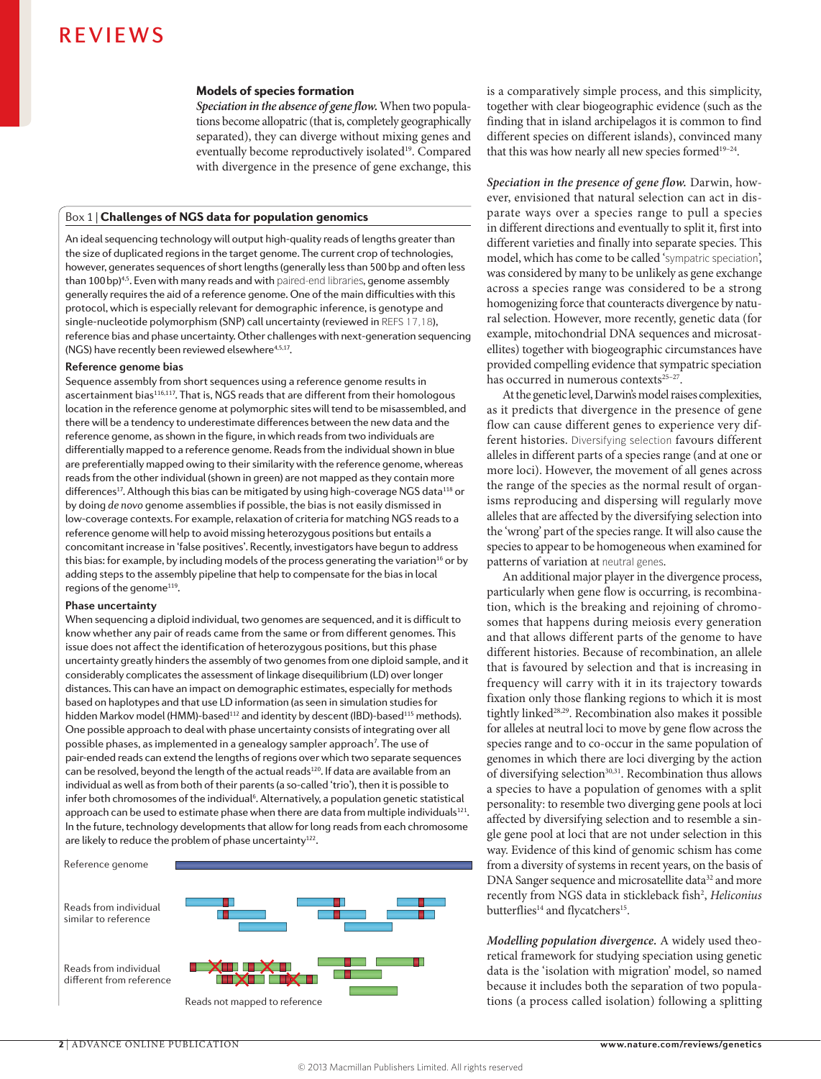## Models of species formation

*Speciation in the absence of gene flow.* When two populations become allopatric (that is, completely geographically separated), they can diverge without mixing genes and eventually become reproductively isolated<sup>19</sup>. Compared with divergence in the presence of gene exchange, this

### Box 1 | Challenges of NGS data for population genomics

An ideal sequencing technology will output high-quality reads of lengths greater than the size of duplicated regions in the target genome. The current crop of technologies, however, generates sequences of short lengths (generally less than 500bp and often less than 100 bp)<sup>4,5</sup>. Even with many reads and with paired-end libraries, genome assembly generally requires the aid of a reference genome. One of the main difficulties with this protocol, which is especially relevant for demographic inference, is genotype and single-nucleotide polymorphism (SNP) call uncertainty (reviewed in REFS 17,18), reference bias and phase uncertainty. Other challenges with next-generation sequencing (NGS) have recently been reviewed elsewhere $4,5,17$ .

### **Reference genome bias**

Sequence assembly from short sequences using a reference genome results in ascertainment bias<sup>116,117</sup>. That is, NGS reads that are different from their homologous location in the reference genome at polymorphic sites will tend to be misassembled, and there will be a tendency to underestimate differences between the new data and the reference genome, as shown in the figure, in which reads from two individuals are differentially mapped to a reference genome. Reads from the individual shown in blue are preferentially mapped owing to their similarity with the reference genome, whereas reads from the other individual (shown in green) are not mapped as they contain more differences<sup>17</sup>. Although this bias can be mitigated by using high-coverage NGS data<sup>118</sup> or by doing *de novo* genome assemblies if possible, the bias is not easily dismissed in low-coverage contexts. For example, relaxation of criteria for matching NGS reads to a reference genome will help to avoid missing heterozygous positions but entails a concomitant increase in 'false positives'. Recently, investigators have begun to address this bias: for example, by including models of the process generating the variation<sup>16</sup> or by adding steps to the assembly pipeline that help to compensate for the bias in local regions of the genome<sup>119</sup>.

#### **Phase uncertainty**

When sequencing a diploid individual, two genomes are sequenced, and it is difficult to know whether any pair of reads came from the same or from different genomes. This issue does not affect the identification of heterozygous positions, but this phase uncertainty greatly hinders the assembly of two genomes from one diploid sample, and it considerably complicates the assessment of linkage disequilibrium (LD) over longer distances. This can have an impact on demographic estimates, especially for methods based on haplotypes and that use LD information (as seen in simulation studies for hidden Markov model (HMM)-based<sup>112</sup> and identity by descent (IBD)-based<sup>115</sup> methods). One possible approach to deal with phase uncertainty consists of integrating over all possible phases, as implemented in a genealogy sampler approach<sup>7</sup>. The use of pair-ended reads can extend the lengths of regions over which two separate sequences can be resolved, beyond the length of the actual reads<sup>120</sup>. If data are available from an individual as well as from both of their parents (a so-called 'trio'), then it is possible to infer both chromosomes of the individual<sup>6</sup>. Alternatively, a population genetic statistical approach can be used to estimate phase when there are data from multiple individuals<sup>121</sup>. In the future, technology developments that allow for long reads from each chromosome are likely to reduce the problem of phase uncertainty<sup>122</sup>.



Reads not mapped to reference

is a comparatively simple process, and this simplicity, together with clear biogeographic evidence (such as the finding that in island archipelagos it is common to find different species on different islands), convinced many that this was how nearly all new species formed<sup>19-24</sup>.

*Speciation in the presence of gene flow.* Darwin, however, envisioned that natural selection can act in disparate ways over a species range to pull a species in different directions and eventually to split it, first into different varieties and finally into separate species. This model, which has come to be called 'sympatric speciation', was considered by many to be unlikely as gene exchange across a species range was considered to be a strong homogenizing force that counteracts divergence by natural selection. However, more recently, genetic data (for example, mitochondrial DNA sequences and microsatellites) together with biogeographic circumstances have provided compelling evidence that sympatric speciation has occurred in numerous contexts<sup>25-27</sup>.

At the genetic level, Darwin's model raises complexities, as it predicts that divergence in the presence of gene flow can cause different genes to experience very different histories. Diversifying selection favours different alleles in different parts of a species range (and at one or more loci). However, the movement of all genes across the range of the species as the normal result of organisms reproducing and dispersing will regularly move alleles that are affected by the diversifying selection into the 'wrong' part of the species range. It will also cause the species to appear to be homogeneous when examined for patterns of variation at neutral genes.

An additional major player in the divergence process, particularly when gene flow is occurring, is recombination, which is the breaking and rejoining of chromosomes that happens during meiosis every generation and that allows different parts of the genome to have different histories. Because of recombination, an allele that is favoured by selection and that is increasing in frequency will carry with it in its trajectory towards fixation only those flanking regions to which it is most tightly linked<sup>28,29</sup>. Recombination also makes it possible for alleles at neutral loci to move by gene flow across the species range and to co-occur in the same population of genomes in which there are loci diverging by the action of diversifying selection<sup>30,31</sup>. Recombination thus allows a species to have a population of genomes with a split personality: to resemble two diverging gene pools at loci affected by diversifying selection and to resemble a single gene pool at loci that are not under selection in this way. Evidence of this kind of genomic schism has come from a diversity of systems in recent years, on the basis of DNA Sanger sequence and microsatellite data<sup>32</sup> and more recently from NGS data in stickleback fish<sup>2</sup>, *Heliconius* butterflies<sup>14</sup> and flycatchers<sup>15</sup>.

*Modelling population divergence.* A widely used theoretical framework for studying speciation using genetic data is the 'isolation with migration' model, so named because it includes both the separation of two populations (a process called isolation) following a splitting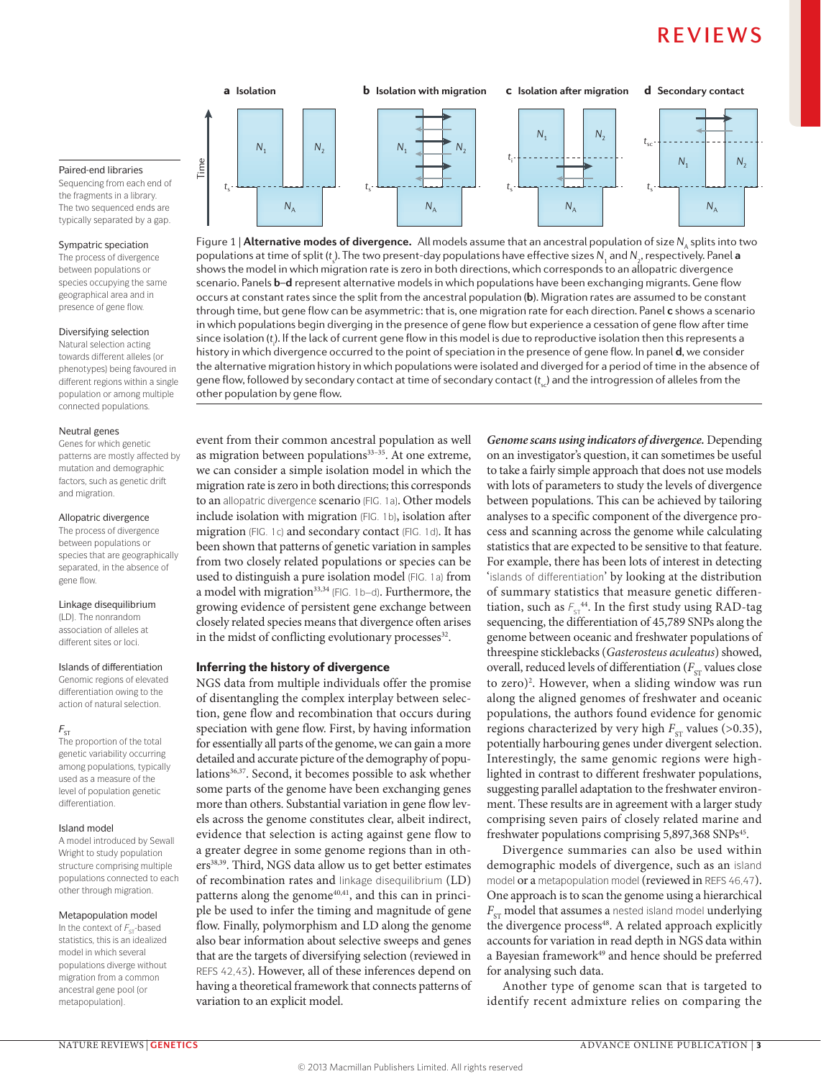

populations at time of split (t<sub>s</sub>). The two present-day populations have effective sizes  $N_1$  and  $N_2$ , respectively. Panel **a** Figure 1 | **Alternative modes of divergence.** All models assume that an ancestral population of size  $N_A$  splits into two shows the model in which migration rate is zero in both directions, which corresponds to an allopatric divergence scenario. Panels **b**–**d** represent alternative models in which populations have been exchanging migrants. Gene flow occurs at constant rates since the split from the ancestral population (**b**). Migration rates are assumed to be constant through time, but gene flow can be asymmetric: that is, one migration rate for each direction. Panel **c** shows a scenario in which populations begin diverging in the presence of gene flow but experience a cessation of gene flow after time since isolation (*t* ). If the lack of current gene flow in this model is due to reproductive isolation then this represents a i history in which divergence occurred to the point of speciation in the presence of gene flow. In panel **d**, we consider the alternative migration history in which populations were isolated and diverged for a period of time in the absence of gene flow, followed by secondary contact at time of secondary contact (t<sub>sc</sub>) and the introgression of alleles from the other population by gene flow.

Paired-end libraries Sequencing from each end of the fragments in a library.

The two sequenced ends are typically separated by a gap.

#### Sympatric speciation

The process of divergence between populations or species occupying the same geographical area and in presence of gene flow.

#### Diversifying selection

Natural selection acting towards different alleles (or phenotypes) being favoured in different regions within a single population or among multiple connected populations.

#### Neutral genes

Genes for which genetic patterns are mostly affected by mutation and demographic factors, such as genetic drift and migration.

### Allopatric divergence

The process of divergence between populations or species that are geographically separated, in the absence of gene flow.

#### Linkage disequilibrium (LD). The nonrandom association of alleles at different sites or loci.

Islands of differentiation

Genomic regions of elevated differentiation owing to the action of natural selection.

# $F_{\text{ST}}$

The proportion of the total genetic variability occurring among populations, typically used as a measure of the level of population genetic differentiation.

#### Island model

A model introduced by Sewall Wright to study population structure comprising multiple populations connected to each other through migration.

#### Metapopulation model

In the context of  $F_{ST}$ -based statistics, this is an idealized model in which several populations diverge without migration from a common ancestral gene pool (or metapopulation).

event from their common ancestral population as well as migration between populations $33-35$ . At one extreme, we can consider a simple isolation model in which the migration rate is zero in both directions; this corresponds to an allopatric divergence scenario (FIG. 1a). Other models include isolation with migration (FIG. 1b), isolation after migration (FIG. 1c) and secondary contact (FIG. 1d). It has been shown that patterns of genetic variation in samples from two closely related populations or species can be used to distinguish a pure isolation model (FIG. 1a) from a model with migration<sup>33,34</sup> (FIG. 1b-d). Furthermore, the growing evidence of persistent gene exchange between closely related species means that divergence often arises in the midst of conflicting evolutionary processes<sup>32</sup>.

### Inferring the history of divergence

NGS data from multiple individuals offer the promise of disentangling the complex interplay between selection, gene flow and recombination that occurs during speciation with gene flow. First, by having information for essentially all parts of the genome, we can gain a more detailed and accurate picture of the demography of populations<sup>36,37</sup>. Second, it becomes possible to ask whether some parts of the genome have been exchanging genes more than others. Substantial variation in gene flow levels across the genome constitutes clear, albeit indirect, evidence that selection is acting against gene flow to a greater degree in some genome regions than in others<sup>38,39</sup>. Third, NGS data allow us to get better estimates of recombination rates and linkage disequilibrium (LD) patterns along the genome<sup> $40,41$ </sup>, and this can in principle be used to infer the timing and magnitude of gene flow. Finally, polymorphism and LD along the genome also bear information about selective sweeps and genes that are the targets of diversifying selection (reviewed in REFS 42,43). However, all of these inferences depend on having a theoretical framework that connects patterns of variation to an explicit model.

*Genome scans using indicators of divergence.* Depending on an investigator's question, it can sometimes be useful to take a fairly simple approach that does not use models with lots of parameters to study the levels of divergence between populations. This can be achieved by tailoring analyses to a specific component of the divergence process and scanning across the genome while calculating statistics that are expected to be sensitive to that feature. For example, there has been lots of interest in detecting 'islands of differentiation' by looking at the distribution of summary statistics that measure genetic differentiation, such as  $F_{ST}^{44}$ . In the first study using RAD-tag sequencing, the differentiation of 45,789 SNPs along the genome between oceanic and freshwater populations of threespine sticklebacks (*Gasterosteus aculeatus*) showed, overall, reduced levels of differentiation ( $F_{ST}$  values close to zero)<sup>2</sup>. However, when a sliding window was run along the aligned genomes of freshwater and oceanic populations, the authors found evidence for genomic regions characterized by very high  $F_{\rm sr}$  values (>0.35), potentially harbouring genes under divergent selection. Interestingly, the same genomic regions were highlighted in contrast to different freshwater populations, suggesting parallel adaptation to the freshwater environment. These results are in agreement with a larger study comprising seven pairs of closely related marine and freshwater populations comprising 5,897,368 SNPs<sup>45</sup>.

Divergence summaries can also be used within demographic models of divergence, such as an island model or a metapopulation model (reviewed in REFS 46,47). One approach is to scan the genome using a hierarchical  $F_{cr}$  model that assumes a nested island model underlying the divergence process<sup>48</sup>. A related approach explicitly accounts for variation in read depth in NGS data within a Bayesian framework<sup>49</sup> and hence should be preferred for analysing such data.

Another type of genome scan that is targeted to identify recent admixture relies on comparing the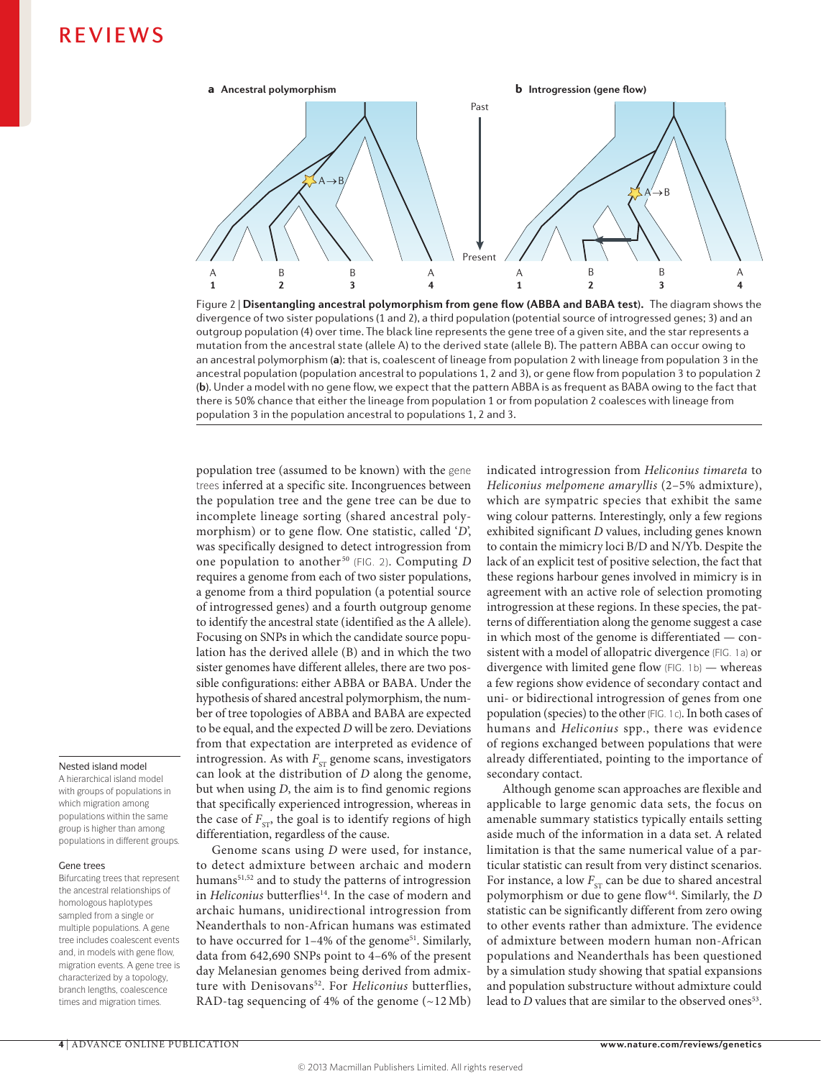

**Nature Reviews** | **Genetics** Figure 2 | **Disentangling ancestral polymorphism from gene flow (ABBA and BABA test**)**.** The diagram shows the divergence of two sister populations (1 and 2), a third population (potential source of introgressed genes; 3) and an outgroup population (4) over time. The black line represents the gene tree of a given site, and the star represents a mutation from the ancestral state (allele A) to the derived state (allele B). The pattern ABBA can occur owing to an ancestral polymorphism (**a**): that is, coalescent of lineage from population 2 with lineage from population 3 in the ancestral population (population ancestral to populations 1, 2 and 3), or gene flow from population 3 to population 2 (**b**). Under a model with no gene flow, we expect that the pattern ABBA is as frequent as BABA owing to the fact that there is 50% chance that either the lineage from population 1 or from population 2 coalesces with lineage from population 3 in the population ancestral to populations 1, 2 and 3.

population tree (assumed to be known) with the gene trees inferred at a specific site. Incongruences between the population tree and the gene tree can be due to incomplete lineage sorting (shared ancestral polymorphism) or to gene flow. One statistic, called '*D*', was specifically designed to detect introgression from one population to another<sup>50</sup> (FIG. 2). Computing *D* requires a genome from each of two sister populations, a genome from a third population (a potential source of introgressed genes) and a fourth outgroup genome to identify the ancestral state (identified as the A allele). Focusing on SNPs in which the candidate source population has the derived allele (B) and in which the two sister genomes have different alleles, there are two possible configurations: either ABBA or BABA. Under the hypothesis of shared ancestral polymorphism, the number of tree topologies of ABBA and BABA are expected to be equal, and the expected *D* will be zero. Deviations from that expectation are interpreted as evidence of introgression. As with  $F_{ST}$  genome scans, investigators can look at the distribution of *D* along the genome, but when using *D*, the aim is to find genomic regions that specifically experienced introgression, whereas in the case of  $F_{ST}$ , the goal is to identify regions of high differentiation, regardless of the cause.

Genome scans using *D* were used, for instance, to detect admixture between archaic and modern humans<sup>51,52</sup> and to study the patterns of introgression in *Heliconius* butterflies<sup>14</sup>. In the case of modern and archaic humans, unidirectional introgression from Neanderthals to non-African humans was estimated to have occurred for 1-4% of the genome<sup>51</sup>. Similarly, data from 642,690 SNPs point to 4–6% of the present day Melanesian genomes being derived from admixture with Denisovans<sup>52</sup>. For *Heliconius* butterflies, RAD-tag sequencing of 4% of the genome (~12 Mb) indicated introgression from *Heliconius timareta* to *Heliconius melpomene amaryllis* (2–5% admixture), which are sympatric species that exhibit the same wing colour patterns. Interestingly, only a few regions exhibited significant *D* values, including genes known to contain the mimicry loci B/D and N/Yb. Despite the lack of an explicit test of positive selection, the fact that these regions harbour genes involved in mimicry is in agreement with an active role of selection promoting introgression at these regions. In these species, the patterns of differentiation along the genome suggest a case in which most of the genome is differentiated — consistent with a model of allopatric divergence (FIG. 1a) or divergence with limited gene flow (FIG. 1b) — whereas a few regions show evidence of secondary contact and uni- or bidirectional introgression of genes from one population (species) to the other (FIG. 1c). In both cases of humans and *Heliconius* spp., there was evidence of regions exchanged between populations that were already differentiated, pointing to the importance of secondary contact.

Although genome scan approaches are flexible and applicable to large genomic data sets, the focus on amenable summary statistics typically entails setting aside much of the information in a data set. A related limitation is that the same numerical value of a particular statistic can result from very distinct scenarios. For instance, a low  $F_{ST}$  can be due to shared ancestral polymorphism or due to gene flow<sup>44</sup>. Similarly, the *D* statistic can be significantly different from zero owing to other events rather than admixture. The evidence of admixture between modern human non-African populations and Neanderthals has been questioned by a simulation study showing that spatial expansions and population substructure without admixture could lead to *D* values that are similar to the observed ones<sup>53</sup>.

#### Nested island model

A hierarchical island model with groups of populations in which migration among populations within the same group is higher than among populations in different groups.

#### Gene trees

Bifurcating trees that represent the ancestral relationships of homologous haplotypes sampled from a single or multiple populations. A gene tree includes coalescent events and, in models with gene flow, migration events. A gene tree is characterized by a topology, branch lengths, coalescence times and migration times.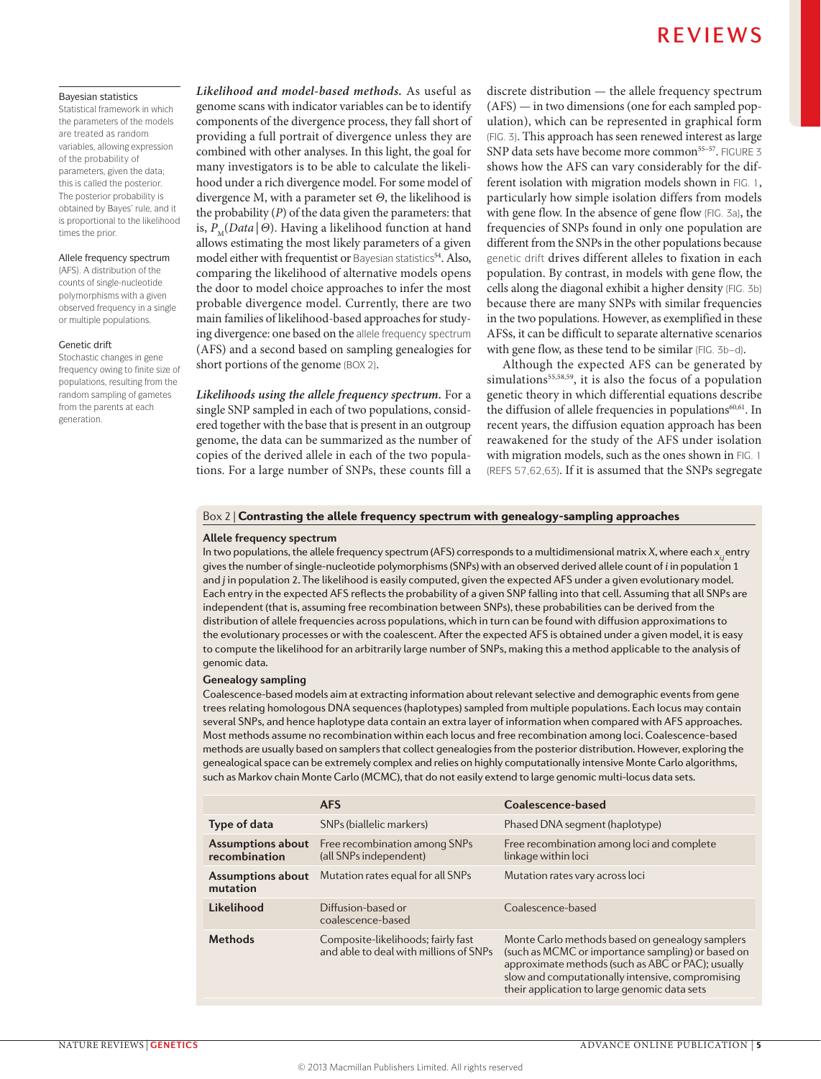#### Bayesian statistics

Statistical framework in which the parameters of the models are treated as random variables, allowing expression of the probability of parameters, given the data; this is called the posterior. The posterior probability is obtained by Bayes' rule, and it is proportional to the likelihood times the prior.

#### Allele frequency spectrum

(AFS). A distribution of the counts of single-nucleotide polymorphisms with a given observed frequency in a single or multiple populations.

#### Genetic drift

Stochastic changes in gene frequency owing to finite size of populations, resulting from the random sampling of gametes from the parents at each generation.

*Likelihood and model-based methods.* As useful as genome scans with indicator variables can be to identify components of the divergence process, they fall short of providing a full portrait of divergence unless they are combined with other analyses. In this light, the goal for many investigators is to be able to calculate the likelihood under a rich divergence model. For some model of divergence M, with a parameter set *Θ*, the likelihood is the probability (*P*) of the data given the parameters: that is,  $P_M(Data | \Theta)$ . Having a likelihood function at hand allows estimating the most likely parameters of a given model either with frequentist or Bayesian statistics<sup>54</sup>. Also, comparing the likelihood of alternative models opens the door to model choice approaches to infer the most probable divergence model. Currently, there are two main families of likelihood-based approaches for studying divergence: one based on the allele frequency spectrum (AFS) and a second based on sampling genealogies for short portions of the genome (BOX 2).

*Likelihoods using the allele frequency spectrum.* For a single SNP sampled in each of two populations, considered together with the base that is present in an outgroup genome, the data can be summarized as the number of copies of the derived allele in each of the two populations. For a large number of SNPs, these counts fill a discrete distribution — the allele frequency spectrum (AFS) — in two dimensions (one for each sampled population), which can be represented in graphical form (FIG. 3). This approach has seen renewed interest as large SNP data sets have become more common<sup>55-57</sup>. FIGURE 3 shows how the AFS can vary considerably for the different isolation with migration models shown in FIG. 1, particularly how simple isolation differs from models with gene flow. In the absence of gene flow (FIG. 3a), the frequencies of SNPs found in only one population are different from the SNPs in the other populations because genetic drift drives different alleles to fixation in each population. By contrast, in models with gene flow, the cells along the diagonal exhibit a higher density (FIG. 3b) because there are many SNPs with similar frequencies in the two populations. However, as exemplified in these AFSs, it can be difficult to separate alternative scenarios with gene flow, as these tend to be similar (FIG. 3b–d).

Although the expected AFS can be generated by simulations<sup>55,58,59</sup>, it is also the focus of a population genetic theory in which differential equations describe the diffusion of allele frequencies in populations $60,61$ . In recent years, the diffusion equation approach has been reawakened for the study of the AFS under isolation with migration models, such as the ones shown in FIG. 1 (REFS 57,62,63). If it is assumed that the SNPs segregate

### Box 2 | Contrasting the allele frequency spectrum with genealogy-sampling approaches

#### **Allele frequency spectrum**

In two populations, the allele frequency spectrum (AFS) corresponds to a multidimensional matrix *X*, where each *x<sub>i</sub>*, entry gives the number of single-nucleotide polymorphisms (SNPs) with an observed derived allele count of *i* in population 1 and *j* in population 2. The likelihood is easily computed, given the expected AFS under a given evolutionary model. Each entry in the expected AFS reflects the probability of a given SNP falling into that cell. Assuming that all SNPs are independent (that is, assuming free recombination between SNPs), these probabilities can be derived from the distribution of allele frequencies across populations, which in turn can be found with diffusion approximations to the evolutionary processes or with the coalescent. After the expected AFS is obtained under a given model, it is easy to compute the likelihood for an arbitrarily large number of SNPs, making this a method applicable to the analysis of genomic data.

#### **Genealogy sampling**

Coalescence-based models aim at extracting information about relevant selective and demographic events from gene trees relating homologous DNA sequences (haplotypes) sampled from multiple populations. Each locus may contain several SNPs, and hence haplotype data contain an extra layer of information when compared with AFS approaches. Most methods assume no recombination within each locus and free recombination among loci. Coalescence-based methods are usually based on samplers that collect genealogies from the posterior distribution. However, exploring the genealogical space can be extremely complex and relies on highly computationally intensive Monte Carlo algorithms, such as Markov chain Monte Carlo (MCMC), that do not easily extend to large genomic multi-locus data sets.

|                                           | <b>AFS</b>                                                                   | Coalescence-based                                                                                                                                                                                                                                             |
|-------------------------------------------|------------------------------------------------------------------------------|---------------------------------------------------------------------------------------------------------------------------------------------------------------------------------------------------------------------------------------------------------------|
| Type of data                              | SNPs (biallelic markers)                                                     | Phased DNA segment (haplotype)                                                                                                                                                                                                                                |
| <b>Assumptions about</b><br>recombination | Free recombination among SNPs<br>(all SNPs independent)                      | Free recombination among loci and complete<br>linkage within loci                                                                                                                                                                                             |
| <b>Assumptions about</b><br>mutation      | Mutation rates equal for all SNPs                                            | Mutation rates vary across loci                                                                                                                                                                                                                               |
| Likelihood                                | Diffusion-based or<br>coalescence-based                                      | Coalescence-based                                                                                                                                                                                                                                             |
| <b>Methods</b>                            | Composite-likelihoods; fairly fast<br>and able to deal with millions of SNPs | Monte Carlo methods based on genealogy samplers<br>(such as MCMC or importance sampling) or based on<br>approximate methods (such as ABC or PAC); usually<br>slow and computationally intensive, compromising<br>their application to large genomic data sets |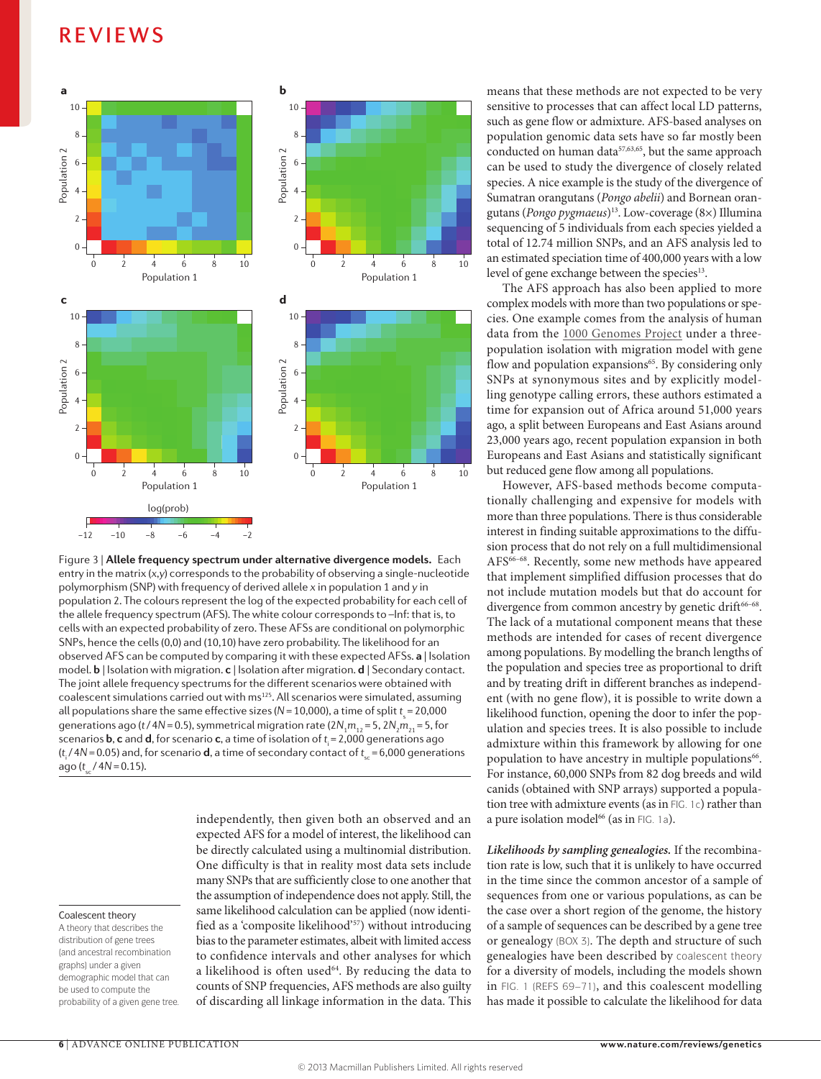

**Nature Reviews** | **Genetics** Figure 3 | **Allele frequency spectrum under alternative divergence models.** Each entry in the matrix (*x*,*y*) corresponds to the probability of observing a single-nucleotide polymorphism (SNP) with frequency of derived allele *x* in population 1 and *y* in population 2. The colours represent the log of the expected probability for each cell of the allele frequency spectrum (AFS). The white colour corresponds to –Inf: that is, to cells with an expected probability of zero. These AFSs are conditional on polymorphic SNPs, hence the cells (0,0) and (10,10) have zero probability. The likelihood for an observed AFS can be computed by comparing it with these expected AFSs. **a** | Isolation model. **b** | Isolation with migration. **c** | Isolation after migration. **d** | Secondary contact. The joint allele frequency spectrums for the different scenarios were obtained with coalescent simulations carried out with ms<sup>125</sup>. All scenarios were simulated, assuming all populations share the same effective sizes (*N*=10,000), a time of split *t* <sup>s</sup>=20,000 generations ago (t / 4N = 0.5), symmetrical migration rate (2N<sub>1</sub>m<sub>12</sub> = 5, 2N<sub>2</sub>m<sub>21</sub> = 5, for scenarios **b**, **c** and **d**, for scenario **c**, a time of isolation of *t* i =2,000 generations ago (*t* i /4*N*=0.05) and, for scenario **d**, a time of secondary contact of *t* sc=6,000 generations ago (*t* sc /4*N*=0.15).

#### Coalescent theory

A theory that describes the distribution of gene trees (and ancestral recombination graphs) under a given demographic model that can be used to compute the probability of a given gene tree. independently, then given both an observed and an expected AFS for a model of interest, the likelihood can be directly calculated using a multinomial distribution. One difficulty is that in reality most data sets include many SNPs that are sufficiently close to one another that the assumption of independence does not apply. Still, the same likelihood calculation can be applied (now identified as a 'composite likelihood'57) without introducing bias to the parameter estimates, albeit with limited access to confidence intervals and other analyses for which a likelihood is often used<sup>64</sup>. By reducing the data to counts of SNP frequencies, AFS methods are also guilty of discarding all linkage information in the data. This means that these methods are not expected to be very sensitive to processes that can affect local LD patterns, such as gene flow or admixture. AFS-based analyses on population genomic data sets have so far mostly been conducted on human data<sup>57,63,65</sup>, but the same approach can be used to study the divergence of closely related species. A nice example is the study of the divergence of Sumatran orangutans (*Pongo abelii*) and Bornean orangutans (*Pongo pygmaeus*)13. Low-coverage (8×) Illumina sequencing of 5 individuals from each species yielded a total of 12.74 million SNPs, and an AFS analysis led to an estimated speciation time of 400,000 years with a low level of gene exchange between the species<sup>13</sup>.

The AFS approach has also been applied to more complex models with more than two populations or species. One example comes from the analysis of human data from the [1000 Genomes Project](http://www.1000genomes.org/) under a threepopulation isolation with migration model with gene flow and population expansions<sup>65</sup>. By considering only SNPs at synonymous sites and by explicitly modelling genotype calling errors, these authors estimated a time for expansion out of Africa around 51,000 years ago, a split between Europeans and East Asians around 23,000 years ago, recent population expansion in both Europeans and East Asians and statistically significant but reduced gene flow among all populations.

However, AFS-based methods become computationally challenging and expensive for models with more than three populations. There is thus considerable interest in finding suitable approximations to the diffusion process that do not rely on a full multidimensional AFS66–68. Recently, some new methods have appeared that implement simplified diffusion processes that do not include mutation models but that do account for divergence from common ancestry by genetic drift<sup>66–68</sup>. The lack of a mutational component means that these methods are intended for cases of recent divergence among populations. By modelling the branch lengths of the population and species tree as proportional to drift and by treating drift in different branches as independent (with no gene flow), it is possible to write down a likelihood function, opening the door to infer the population and species trees. It is also possible to include admixture within this framework by allowing for one population to have ancestry in multiple populations<sup>66</sup>. For instance, 60,000 SNPs from 82 dog breeds and wild canids (obtained with SNP arrays) supported a population tree with admixture events (as in FIG. 1c) rather than a pure isolation model<sup>66</sup> (as in FIG. 1a).

*Likelihoods by sampling genealogies.* If the recombination rate is low, such that it is unlikely to have occurred in the time since the common ancestor of a sample of sequences from one or various populations, as can be the case over a short region of the genome, the history of a sample of sequences can be described by a gene tree or genealogy (BOX 3). The depth and structure of such genealogies have been described by coalescent theory for a diversity of models, including the models shown in FIG. 1 (REFS 69–71), and this coalescent modelling has made it possible to calculate the likelihood for data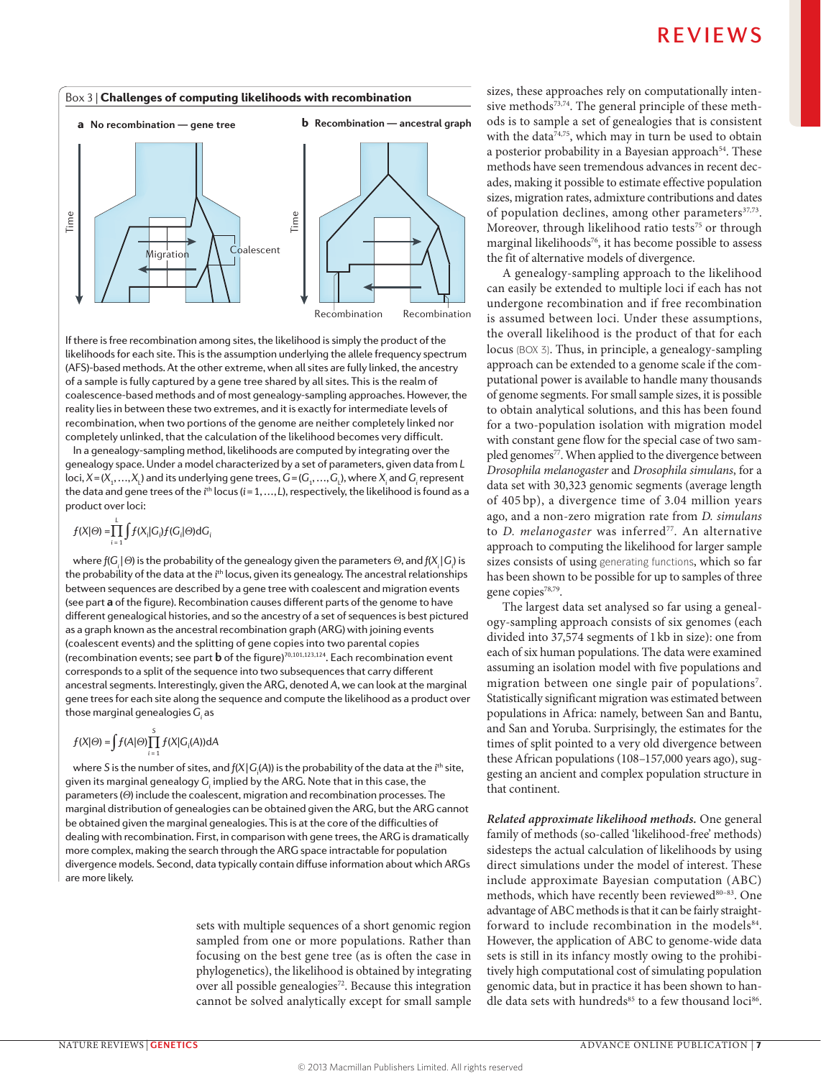

If there is free recombination among sites, the likelihood is simply the product of the likelihoods for each site. This is the assumption underlying the allele frequency spectrum (AFS)-based methods. At the other extreme, when all sites are fully linked, the ancestry of a sample is fully captured by a gene tree shared by all sites. This is the realm of coalescence-based methods and of most genealogy-sampling approaches. However, the reality lies in between these two extremes, and it is exactly for intermediate levels of recombination, when two portions of the genome are neither completely linked nor completely unlinked, that the calculation of the likelihood becomes very difficult.

In a genealogy-sampling method, likelihoods are computed by integrating over the genealogy space. Under a model characterized by a set of parameters, given data from *L*  $\textsf{loci}, X\textsf{=}(X_{_1},...,X_{_L})$  and its underlying gene trees,  $G\textsf{=}(G_{_1},...,G_{_L})$ , where  $X_{_i}$  and  $G_{_i}$  represent the data and gene trees of the *i*<sup>th</sup> locus (*i*=1,...,L), respectively, the likelihood is found as a product over loci:

# $f(X|\Theta) = \prod_{i=1}^{L} \int f(X_i|G_i)f(G_i|\Theta)dG_i$ *i* = 1

where *f*(*Gi* |*Θ*) is the probability of the genealogy given the parameters *Θ*, and *f*(*Xi* |*Gi* ) is the probability of the data at the i<sup>th</sup> locus, given its genealogy. The ancestral relationships between sequences are described by a gene tree with coalescent and migration events (see part **a** of the figure). Recombination causes different parts of the genome to have different genealogical histories, and so the ancestry of a set of sequences is best pictured as a graph known as the ancestral recombination graph (ARG) with joining events (coalescent events) and the splitting of gene copies into two parental copies (recombination events; see part **b** of the figure)70,101,123,124. Each recombination event corresponds to a split of the sequence into two subsequences that carry different ancestral segments. Interestingly, given the ARG, denoted *A*, we can look at the marginal gene trees for each site along the sequence and compute the likelihood as a product over those marginal genealogies G<sub>i</sub> as

# $f(X|\Theta) = \int f(A|\Theta) \prod_{i=1}^{S} f(X|G_i(A)) dA$ *i* = 1

where  $S$  is the number of sites, and  $f(X|G_{\scriptscriptstyle\parallel}(A))$  is the probability of the data at the i<sup>th</sup> site, given its marginal genealogy  $G_{\scriptscriptstyle \hat{i}}$  implied by the ARG. Note that in this case, the parameters (*Θ*) include the coalescent, migration and recombination processes. The marginal distribution of genealogies can be obtained given the ARG, but the ARG cannot be obtained given the marginal genealogies. This is at the core of the difficulties of dealing with recombination. First, in comparison with gene trees, the ARG is dramatically more complex, making the search through the ARG space intractable for population divergence models. Second, data typically contain diffuse information about which ARGs are more likely.

> sets with multiple sequences of a short genomic region sampled from one or more populations. Rather than focusing on the best gene tree (as is often the case in phylogenetics), the likelihood is obtained by integrating over all possible genealogies<sup>72</sup>. Because this integration cannot be solved analytically except for small sample

sizes, these approaches rely on computationally intensive methods<sup>73,74</sup>. The general principle of these methods is to sample a set of genealogies that is consistent with the data<sup>74,75</sup>, which may in turn be used to obtain a posterior probability in a Bayesian approach<sup>54</sup>. These methods have seen tremendous advances in recent decades, making it possible to estimate effective population sizes, migration rates, admixture contributions and dates of population declines, among other parameters $37,73$ . Moreover, through likelihood ratio tests<sup>75</sup> or through marginal likelihoods<sup>76</sup>, it has become possible to assess the fit of alternative models of divergence.

A genealogy-sampling approach to the likelihood can easily be extended to multiple loci if each has not undergone recombination and if free recombination is assumed between loci. Under these assumptions, the overall likelihood is the product of that for each locus (BOX 3). Thus, in principle, a genealogy-sampling approach can be extended to a genome scale if the computational power is available to handle many thousands of genome segments. For small sample sizes, it is possible to obtain analytical solutions, and this has been found for a two-population isolation with migration model with constant gene flow for the special case of two sampled genomes<sup>77</sup>. When applied to the divergence between *Drosophila melanogaster* and *Drosophila simulans*, for a data set with 30,323 genomic segments (average length of 405 bp), a divergence time of 3.04 million years ago, and a non-zero migration rate from *D. simulans* to *D. melanogaster* was inferred<sup>77</sup>. An alternative approach to computing the likelihood for larger sample sizes consists of using generating functions, which so far has been shown to be possible for up to samples of three gene copies<sup>78,79</sup>.

The largest data set analysed so far using a genealogy-sampling approach consists of six genomes (each divided into 37,574 segments of 1kb in size): one from each of six human populations. The data were examined assuming an isolation model with five populations and migration between one single pair of populations<sup>7</sup>. Statistically significant migration was estimated between populations in Africa: namely, between San and Bantu, and San and Yoruba. Surprisingly, the estimates for the times of split pointed to a very old divergence between these African populations (108–157,000 years ago), suggesting an ancient and complex population structure in that continent.

*Related approximate likelihood methods.* One general family of methods (so-called 'likelihood-free' methods) sidesteps the actual calculation of likelihoods by using direct simulations under the model of interest. These include approximate Bayesian computation (ABC) methods, which have recently been reviewed<sup>80-83</sup>. One advantage of ABC methods is that it can be fairly straightforward to include recombination in the models<sup>84</sup>. However, the application of ABC to genome-wide data sets is still in its infancy mostly owing to the prohibitively high computational cost of simulating population genomic data, but in practice it has been shown to handle data sets with hundreds $85$  to a few thousand loci $86$ .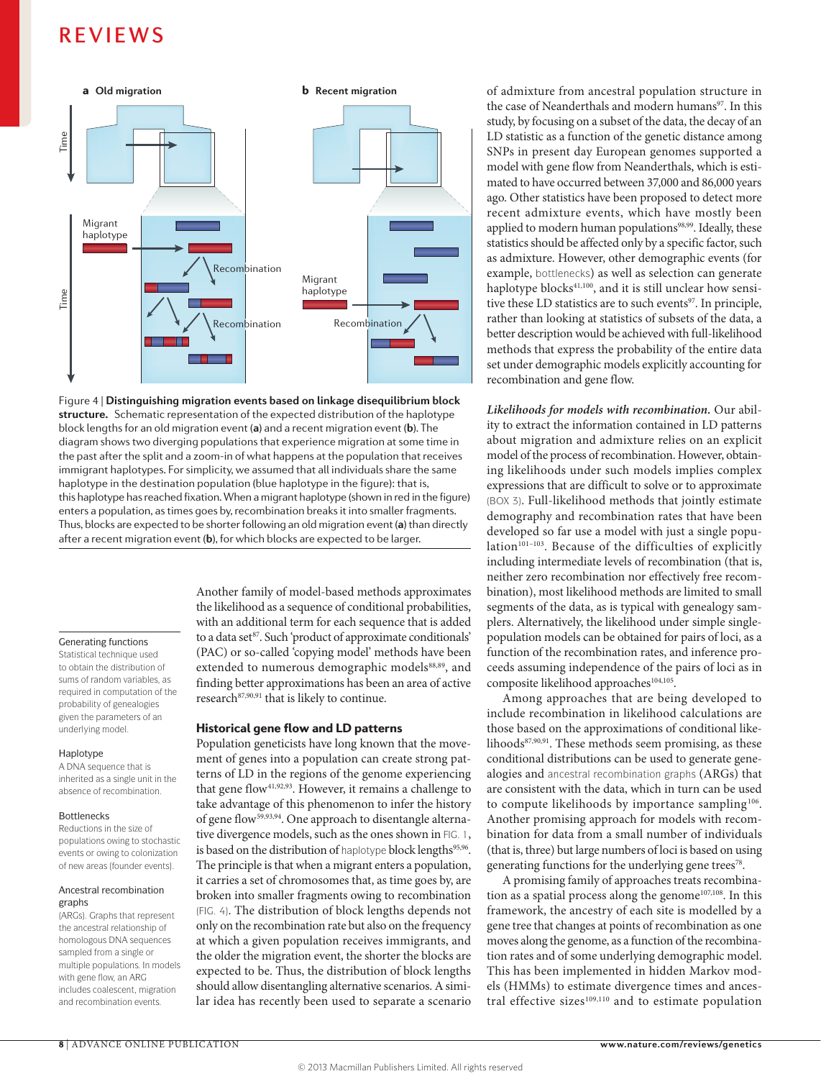

Figure 4 | **Distinguishing migration events based on linkage disequilibrium block structure.** Schematic representation of the expected distribution of the haplotype block lengths for an old migration event (**a**) and a recent migration event (**b**). The diagram shows two diverging populations that experience migration at some time in the past after the split and a zoom-in of what happens at the population that receives immigrant haplotypes. For simplicity, we assumed that all individuals share the same haplotype in the destination population (blue haplotype in the figure): that is, this haplotype has reached fixation. When a migrant haplotype (shown in red in the figure) enters a population, as times goes by, recombination breaks it into smaller fragments. Thus, blocks are expected to be shorter following an old migration event (**a**) than directly after a recent migration event (**b**), for which blocks are expected to be larger.

#### Generating functions

Statistical technique used to obtain the distribution of sums of random variables, as required in computation of the probability of genealogies given the parameters of an underlying model.

#### Haplotype

A DNA sequence that is inherited as a single unit in the absence of recombination.

#### Bottlenecks

Reductions in the size of populations owing to stochastic events or owing to colonization of new areas (founder events).

#### Ancestral recombination graphs

(ARGs). Graphs that represent the ancestral relationship of homologous DNA sequences sampled from a single or multiple populations. In models with gene flow, an ARG includes coalescent, migration and recombination events.

Another family of model-based methods approximates the likelihood as a sequence of conditional probabilities, with an additional term for each sequence that is added to a data set<sup>87</sup>. Such 'product of approximate conditionals' (PAC) or so-called 'copying model' methods have been extended to numerous demographic models<sup>88,89</sup>, and finding better approximations has been an area of active research<sup>87,90,91</sup> that is likely to continue.

### Historical gene flow and LD patterns

Population geneticists have long known that the movement of genes into a population can create strong patterns of LD in the regions of the genome experiencing that gene flow<sup>41,92,93</sup>. However, it remains a challenge to take advantage of this phenomenon to infer the history of gene flow59,93,94. One approach to disentangle alternative divergence models, such as the ones shown in FIG. 1, is based on the distribution of haplotype block lengths<sup>95,96</sup>. The principle is that when a migrant enters a population, it carries a set of chromosomes that, as time goes by, are broken into smaller fragments owing to recombination (FIG. 4). The distribution of block lengths depends not only on the recombination rate but also on the frequency at which a given population receives immigrants, and the older the migration event, the shorter the blocks are expected to be. Thus, the distribution of block lengths should allow disentangling alternative scenarios. A similar idea has recently been used to separate a scenario of admixture from ancestral population structure in the case of Neanderthals and modern humans<sup>97</sup>. In this study, by focusing on a subset of the data, the decay of an LD statistic as a function of the genetic distance among SNPs in present day European genomes supported a model with gene flow from Neanderthals, which is estimated to have occurred between 37,000 and 86,000 years ago. Other statistics have been proposed to detect more recent admixture events, which have mostly been applied to modern human populations<sup>98,99</sup>. Ideally, these statistics should be affected only by a specific factor, such as admixture. However, other demographic events (for example, bottlenecks) as well as selection can generate haplotype blocks<sup>41,100</sup>, and it is still unclear how sensitive these LD statistics are to such events<sup>97</sup>. In principle, rather than looking at statistics of subsets of the data, a better description would be achieved with full-likelihood methods that express the probability of the entire data set under demographic models explicitly accounting for recombination and gene flow.

*Likelihoods for models with recombination.* Our ability to extract the information contained in LD patterns about migration and admixture relies on an explicit model of the process of recombination. However, obtaining likelihoods under such models implies complex expressions that are difficult to solve or to approximate (BOX 3). Full-likelihood methods that jointly estimate demography and recombination rates that have been developed so far use a model with just a single population<sup>101-103</sup>. Because of the difficulties of explicitly including intermediate levels of recombination (that is, neither zero recombination nor effectively free recombination), most likelihood methods are limited to small segments of the data, as is typical with genealogy samplers. Alternatively, the likelihood under simple singlepopulation models can be obtained for pairs of loci, as a function of the recombination rates, and inference proceeds assuming independence of the pairs of loci as in composite likelihood approaches<sup>104,105</sup>.

Among approaches that are being developed to include recombination in likelihood calculations are those based on the approximations of conditional likelihoods<sup>87,90,91</sup>. These methods seem promising, as these conditional distributions can be used to generate genealogies and ancestral recombination graphs (ARGs) that are consistent with the data, which in turn can be used to compute likelihoods by importance sampling<sup>106</sup>. Another promising approach for models with recombination for data from a small number of individuals (that is, three) but large numbers of loci is based on using generating functions for the underlying gene trees<sup>78</sup>.

A promising family of approaches treats recombination as a spatial process along the genome<sup>107,108</sup>. In this framework, the ancestry of each site is modelled by a gene tree that changes at points of recombination as one moves along the genome, as a function of the recombination rates and of some underlying demographic model. This has been implemented in hidden Markov models (HMMs) to estimate divergence times and ancestral effective sizes<sup>109,110</sup> and to estimate population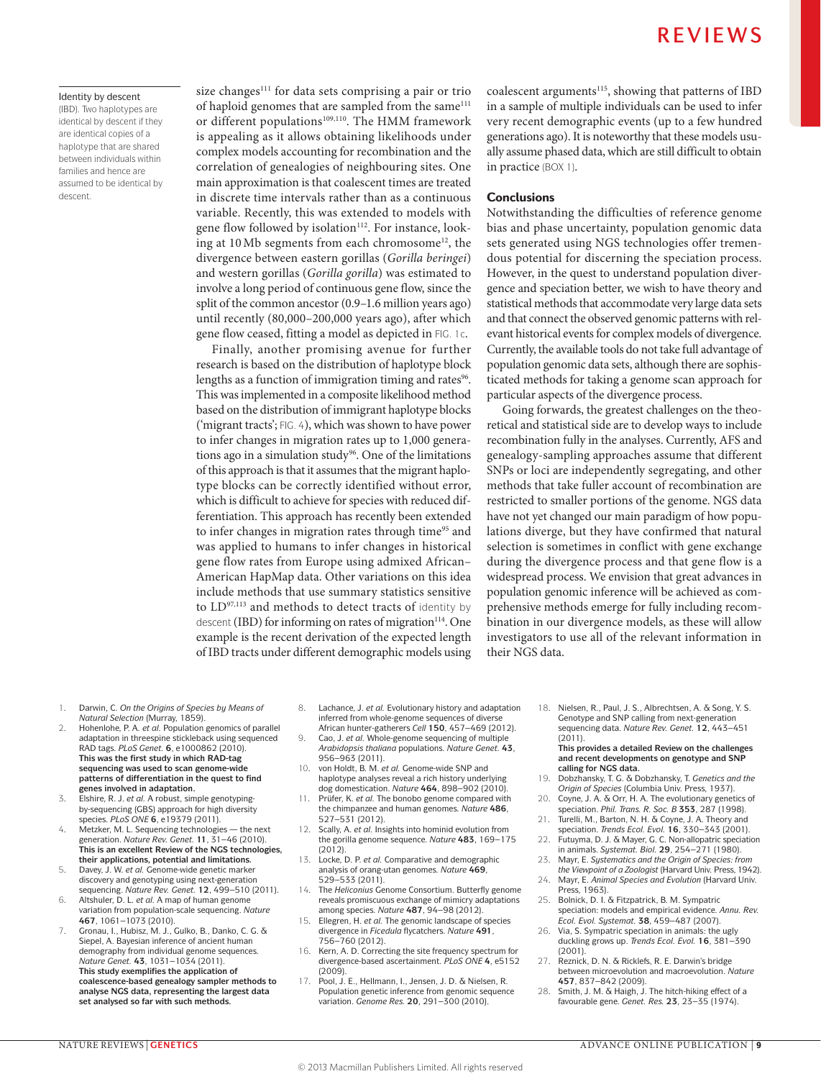#### Identity by descent

(IBD). Two haplotypes are identical by descent if they are identical copies of a haplotype that are shared between individuals within families and hence are assumed to be identical by descent.

size changes<sup>111</sup> for data sets comprising a pair or trio of haploid genomes that are sampled from the same<sup>111</sup> or different populations<sup>109,110</sup>. The HMM framework is appealing as it allows obtaining likelihoods under complex models accounting for recombination and the correlation of genealogies of neighbouring sites. One main approximation is that coalescent times are treated in discrete time intervals rather than as a continuous variable. Recently, this was extended to models with gene flow followed by isolation<sup>112</sup>. For instance, looking at 10 Mb segments from each chromosome<sup>12</sup>, the divergence between eastern gorillas (*Gorilla beringei*) and western gorillas (*Gorilla gorilla*) was estimated to involve a long period of continuous gene flow, since the split of the common ancestor (0.9–1.6 million years ago) until recently (80,000–200,000 years ago), after which gene flow ceased, fitting a model as depicted in FIG. 1c.

Finally, another promising avenue for further research is based on the distribution of haplotype block lengths as a function of immigration timing and rates<sup>96</sup>. This was implemented in a composite likelihood method based on the distribution of immigrant haplotype blocks ('migrant tracts'; FIG. 4), which was shown to have power to infer changes in migration rates up to 1,000 generations ago in a simulation study<sup>96</sup>. One of the limitations of this approach is that it assumes that the migrant haplotype blocks can be correctly identified without error, which is difficult to achieve for species with reduced differentiation. This approach has recently been extended to infer changes in migration rates through time<sup>95</sup> and was applied to humans to infer changes in historical gene flow rates from Europe using admixed African– American HapMap data. Other variations on this idea include methods that use summary statistics sensitive to LD<sup>97,113</sup> and methods to detect tracts of identity by descent (IBD) for informing on rates of migration<sup>114</sup>. One example is the recent derivation of the expected length of IBD tracts under different demographic models using coalescent arguments<sup>115</sup>, showing that patterns of IBD in a sample of multiple individuals can be used to infer very recent demographic events (up to a few hundred generations ago). It is noteworthy that these models usually assume phased data, which are still difficult to obtain in practice (BOX 1).

#### **Conclusions**

Notwithstanding the difficulties of reference genome bias and phase uncertainty, population genomic data sets generated using NGS technologies offer tremendous potential for discerning the speciation process. However, in the quest to understand population divergence and speciation better, we wish to have theory and statistical methods that accommodate very large data sets and that connect the observed genomic patterns with relevant historical events for complex models of divergence. Currently, the available tools do not take full advantage of population genomic data sets, although there are sophisticated methods for taking a genome scan approach for particular aspects of the divergence process.

Going forwards, the greatest challenges on the theoretical and statistical side are to develop ways to include recombination fully in the analyses. Currently, AFS and genealogy-sampling approaches assume that different SNPs or loci are independently segregating, and other methods that take fuller account of recombination are restricted to smaller portions of the genome. NGS data have not yet changed our main paradigm of how populations diverge, but they have confirmed that natural selection is sometimes in conflict with gene exchange during the divergence process and that gene flow is a widespread process. We envision that great advances in population genomic inference will be achieved as comprehensive methods emerge for fully including recombination in our divergence models, as these will allow investigators to use all of the relevant information in their NGS data.

- 1. Darwin, C. *On the Origins of Species by Means of Natural Selection* (Murray, 1859).
- 2. Hohenlohe, P. A. *et al.* Population genomics of parallel adaptation in threespine stickleback using sequenced RAD tags. *PLoS Genet.* **6**, e1000862 (2010). **This was the first study in which RAD-tag sequencing was used to scan genome-wide patterns of differentiation in the quest to find genes involved in adaptation.**
- Elshire, R. J. et al. A robust, simple genotypingby-sequencing (GBS) approach for high diversity species. *PLoS ONE* **6**, e19379 (2011).
- 4. Metzker, M. L. Sequencing technologies the next generation. *Nature Rev. Genet.* **11**, 31–46 (2010). **This is an excellent Review of the NGS technologies, their applications, potential and limitations.**
- 5. Davey, J. W. *et al.* Genome-wide genetic marker discovery and genotyping using next-generation sequencing. *Nature Rev. Genet.* **12**, 499–510 (2011).
- 6. Altshuler, D. L. *et al.* A map of human genome variation from population-scale sequencing. *Nature*  **467**, 1061–1073 (2010).
- 7. Gronau, I., Hubisz, M. J., Gulko, B., Danko, C. G. & Siepel, A. Bayesian inference of ancient human demography from individual genome sequences. *Nature Genet.* **43**, 1031–1034 (2011). **This study exemplifies the application of coalescence-based genealogy sampler methods to analyse NGS data, representing the largest data set analysed so far with such methods.**
- 8. Lachance, J. *et al.* Evolutionary history and adaptation inferred from whole-genome sequences of diverse African hunter-gatherers *Cell* **150**, 457–469 (2012).
- 9. Cao, J. *et al.* Whole-genome sequencing of multiple *Arabidopsis thaliana* populations. *Nature Genet.* **43**, 956–963 (2011).
- 10. von Holdt, B. M. *et al.* Genome-wide SNP and haplotype analyses reveal a rich history underlying dog domestication. *Nature* **464**, 898–902 (2010).
- 11. Prüfer, K. *et al.* The bonobo genome compared with the chimpanzee and human genomes. *Nature* **486**, 527–531 (2012).
- 12. Scally, A. *et al.* Insights into hominid evolution from the gorilla genome sequence. *Nature* **483**, 169–175  $(2012)$ .
- 13. Locke, D. P. *et al.* Comparative and demographic analysis of orang-utan genomes. *Nature* **469**, 529–533 (2011).
- 14. The *Heliconius* Genome Consortium. Butterfly genome reveals promiscuous exchange of mimicry adaptations among species. *Nature* **487**, 94–98 (2012).
- 15. Ellegren, H. *et al.* The genomic landscape of species divergence in *Ficedula* flycatchers. *Nature* **491**, 756–760 (2012).
- 16. Kern, A. D. Correcting the site frequency spectrum for divergence-based ascertainment. *PLoS ONE* **4**, e5152 (2009).
- 17. Pool, J. E., Hellmann, I., Jensen, J. D. & Nielsen, R. Population genetic inference from genomic sequence variation. *Genome Res.* **20**, 291–300 (2010).

18. Nielsen, R., Paul, J. S., Albrechtsen, A. & Song, Y. S. Genotype and SNP calling from next-generation sequencing data. *Nature Rev. Genet.* **12**, 443–451  $(2011)$ .

**This provides a detailed Review on the challenges and recent developments on genotype and SNP calling for NGS data.**

- 19. Dobzhansky, T. G. & Dobzhansky, T. *Genetics and the Origin of Species* (Columbia Univ. Press, 1937).
- 20. Coyne, J. A. & Orr, H. A. The evolutionary genetics of speciation. *Phil. Trans. R. Soc. B* **353**, 287 (1998).
- 21. Turelli, M., Barton, N. H. & Coyne, J. A. Theory and speciation. *Trends Ecol. Evol.* **16**, 330–343 (2001). 22. Futuyma, D. J. & Mayer, G. C. Non-allopatric speciation
- in animals. *Systemat. Biol.* **29**, 254–271 (1980).
- 23. Mayr, E. *Systematics and the Origin of Species: from the Viewpoint of a Zoologist* (Harvard Univ. Press, 1942). 24. Mayr, E. *Animal Species and Evolution* (Harvard Univ.
- Press, 1963). 25. Bolnick, D. I. & Fitzpatrick, B. M. Sympatric
- speciation: models and empirical evidence. *Annu. Rev. Ecol. Evol. Systemat.* **38**, 459–487 (2007). 26. Via, S. Sympatric speciation in animals: the ugly
- duckling grows up. *Trends Ecol. Evol.* **16**, 381–390 (2001). 27. Reznick, D. N. & Ricklefs, R. E. Darwin's bridge
- between microevolution and macroevolution. *Nature*  **457**, 837–842 (2009).
- 28. Smith, J. M. & Haigh, J. The hitch-hiking effect of a favourable gene. *Genet. Res.* **23**, 23–35 (1974).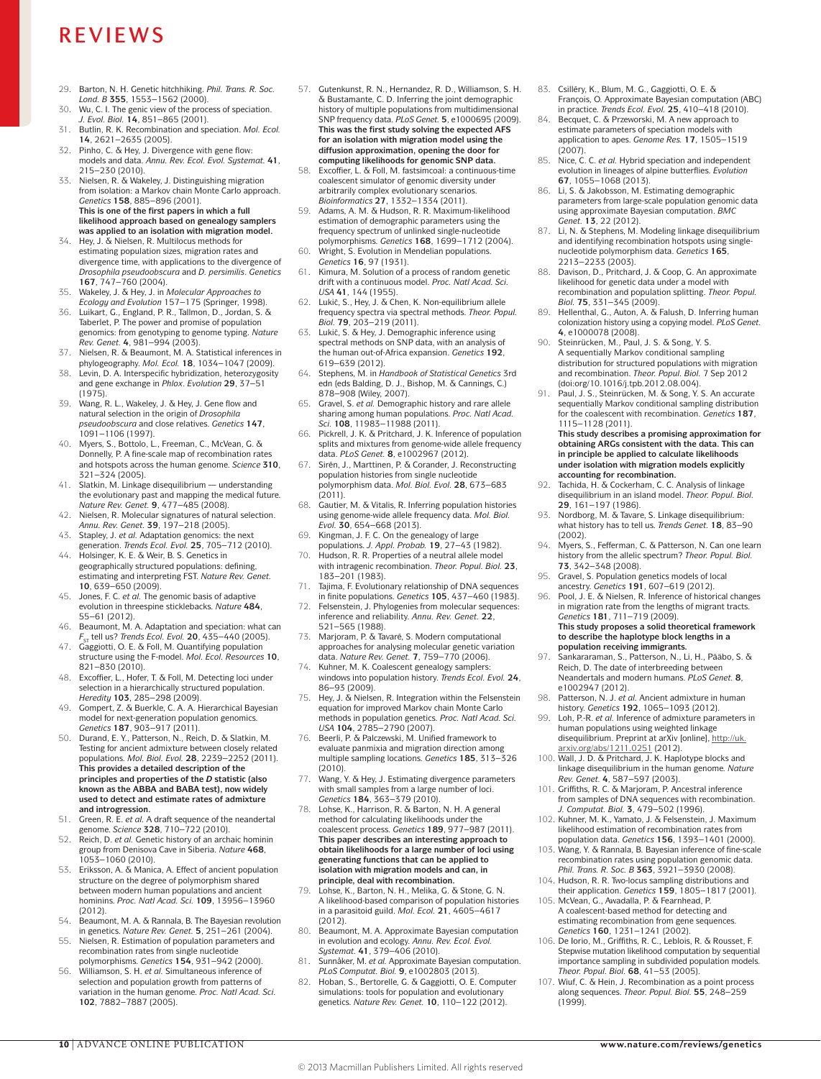- 29. Barton, N. H. Genetic hitchhiking. *Phil. Trans. R. Soc. Lond. B* **355**, 1553–1562 (2000).
- 30. Wu, C. I. The genic view of the process of speciation. *J. Evol. Biol.* **14**, 851–865 (2001). 31. Butlin, R. K. Recombination and speciation. *Mol. Ecol.*
- **14**, 2621–2635 (2005). 32. Pinho, C. & Hey, J. Divergence with gene flow: models and data. *Annu. Rev. Ecol. Evol. Systemat.* **41**,
- 215–230 (2010). 33. Nielsen, R. & Wakeley, J. Distinguishing migration from isolation: a Markov chain Monte Carlo approach. *Genetics* **158**, 885–896 (2001). **This is one of the first papers in which a full likelihood approach based on genealogy samplers**
- **was applied to an isolation with migration model.** 34. Hey, J. & Nielsen, R. Multilocus methods for estimating population sizes, migration rates and divergence time, with applications to the divergence of *Drosophila pseudoobscura* and *D. persimilis*. *Genetics*  **167**, 747–760 (2004).
- 35. Wakeley, J. & Hey, J. in *Molecular Approaches to Ecology and Evolution* 157–175 (Springer, 1998).
- 36. Luikart, G., England, P. R., Tallmon, D., Jordan, S. & Taberlet, P. The power and promise of population genomics: from genotyping to genome typing. *Nature Rev. Genet.* **4**, 981–994 (2003).
- 37. Nielsen, R. & Beaumont, M. A. Statistical inferences in phylogeography. *Mol. Ecol.* **18**, 1034–1047 (2009).
- 38. Levin, D. A. Interspecific hybridization, heterozygosity and gene exchange in *Phlox*. *Evolution* **29**, 37–51 (1975).
- 39. Wang, R. L., Wakeley, J. & Hey, J. Gene flow and natural selection in the origin of *Drosophila pseudoobscura* and close relatives. *Genetics* **147**, 1091–1106 (1997).
- 40. Myers, S., Bottolo, L., Freeman, C., McVean, G. & Donnelly, P. A fine-scale map of recombination rates and hotspots across the human genome. *Science* **310**, 321–324 (2005).
- 41. Slatkin, M. Linkage disequilibrium understanding the evolutionary past and mapping the medical future.
- *Nature Rev. Genet.* **9**, 477–485 (2008). 42. Nielsen, R. Molecular signatures of natural selection. *Annu. Rev. Genet.* **39**, 197–218 (2005).
- 43. Stapley, J. *et al.* Adaptation genomics: the next generation. *Trends Ecol. Evol.* **25**, 705–712 (2010).
- 44. Holsinger, K. E. & Weir, B. S. Genetics in geographically structured populations: defining, estimating and interpreting FST. *Nature Rev. Genet.*  **10**, 639–650 (2009).
- Jones, F. C. et al. The genomic basis of adaptive evolution in threespine sticklebacks. *Nature* **484**, 55–61 (2012). 46. Beaumont, M. A. Adaptation and speciation: what can
- *F*ST tell us? *Trends Ecol. Evol.* **20**, 435–440 (2005).
- Gaggiotti, O. E. & Foll, M. Quantifying population structure using the F-model. *Mol. Ecol. Resources* **10**, 821–830 (2010).
- 48. Excoffier, L., Hofer, T. & Foll, M. Detecting loci under selection in a hierarchically structured population. *Heredity* **103**, 285–298 (2009).
- 49. Gompert, Z. & Buerkle, C. A. A. Hierarchical Bayesian model for next-generation population genomics.
- *Genetics* **187**, 903–917 (2011). 50. Durand, E. Y., Patterson, N., Reich, D. & Slatkin, M. Testing for ancient admixture between closely related populations. *Mol. Biol. Evol.* **28**, 2239–2252 (2011). **This provides a detailed description of the principles and properties of the** *D* **statistic (also known as the ABBA and BABA test), now widely used to detect and estimate rates of admixture and introgression.**
- 51. Green, R. E. *et al.* A draft sequence of the neandertal
- genome. *Science* **328**, 710–722 (2010). 52. Reich, D. *et al.* Genetic history of an archaic hominin group from Denisova Cave in Siberia. *Nature* **468**, 1053–1060 (2010).
- Eriksson, A. & Manica, A. Effect of ancient population structure on the degree of polymorphism shared between modern human populations and ancient hominins. *Proc. Natl Acad. Sci.* **109**, 13956–13960 (2012).
- 54. Beaumont, M. A. & Rannala, B. The Bayesian revolution in genetics. *Nature Rev. Genet.* **5**, 251–261 (2004). 55. Nielsen, R. Estimation of population parameters and
- recombination rates from single nucleotide polymorphisms. *Genetics* **154**, 931–942 (2000).
- 56. Williamson, S. H. *et al.* Simultaneous inference of selection and population growth from patterns of variation in the human genome. *Proc. Natl Acad. Sci.*  **102**, 7882–7887 (2005).
- 57. Gutenkunst, R. N., Hernandez, R. D., Williamson, S. H. & Bustamante, C. D. Inferring the joint demographic history of multiple populations from multidimensional SNP frequency data. *PLoS Genet.* **5**, e1000695 (2009). **This was the first study solving the expected AFS for an isolation with migration model using the diffusion approximation, opening the door for computing likelihoods for genomic SNP data.**
- 58. Excoffier, L. & Foll, M. fastsimcoal: a continuous-time coalescent simulator of genomic diversity under arbitrarily complex evolutionary scenarios. *Bioinformatics* **27**, 1332–1334 (2011).
- 59. Adams, A. M. & Hudson, R. R. Maximum-likelihood estimation of demographic parameters using the frequency spectrum of unlinked single-nucleotide polymorphisms. *Genetics* **168**, 1699–1712 (2004).
- 60. Wright, S. Evolution in Mendelian populations. *Genetics* **16**, 97 (1931). 61. Kimura, M. Solution of a process of random genetic
- drift with a continuous model. *Proc. Natl Acad. Sci. USA* **41**, 144 (1955).
- Lukić, S., Hey, J. & Chen, K. Non-equilibrium allele frequency spectra via spectral methods. *Theor. Popul. Biol.* **79**, 203–219 (2011).
- 63. Lukic´, S. & Hey, J. Demographic inference using spectral methods on SNP data, with an analysis of the human out-of-Africa expansion. *Genetics* **192**, 619–639 (2012).
- 64. Stephens, M. in *Handbook of Statistical Genetics* 3rd edn (eds Balding, D. J., Bishop, M. & Cannings, C.) 878–908 (Wiley, 2007).
- 65. Gravel, S. *et al.* Demographic history and rare allele sharing among human populations. *Proc. Natl Acad. Sci.* **108**, 11983–11988 (2011).
- 66. Pickrell, J. K. & Pritchard, J. K. Inference of population splits and mixtures from genome-wide allele frequency
- data. *PLoS Genet.* **8**, e1002967 (2012). 67. Sirén, J., Marttinen, P. & Corander, J. Reconstructing population histories from single nucleotide polymorphism data. *Mol. Biol. Evol.* **28**, 673–683 (2011).
- 68. Gautier, M. & Vitalis, R. Inferring population histories using genome-wide allele frequency data. *Mol. Biol. Evol.* **30**, 654–668 (2013).
- Kingman, J. F. C. On the genealogy of large populations. *J. Appl. Probab.* **19**, 27–43 (1982).
- 70. Hudson, R. R. Properties of a neutral allele model with intragenic recombination. *Theor. Popul. Biol.* **23**, 183–201 (1983).
- Tajima, F. Evolutionary relationship of DNA sequences in finite populations. *Genetics* **105**, 437–460 (1983). 72. Felsenstein, J. Phylogenies from molecular sequences:
- inference and reliability. *Annu. Rev. Genet.* **22**, 521–565 (1988).
- Marjoram, P. & Tavaré, S. Modern computational approaches for analysing molecular genetic variation data. *Nature Rev. Genet.* **7**, 759–770 (2006).
- 74. Kuhner, M. K. Coalescent genealogy samplers: windows into population history. *Trends Ecol. Evol.* **24**, 86–93 (2009).
- Hey, J. & Nielsen, R. Integration within the Felsenstein equation for improved Markov chain Monte Carlo methods in population genetics. *Proc. Natl Acad. Sci.*
- *USA* **104**, 2785–2790 (2007). 76. Beerli, P. & Palczewski, M. Unified framework to evaluate panmixia and migration direction among multiple sampling locations. *Genetics* **185**, 313–326 (2010).
- 77. Wang, Y. & Hey, J. Estimating divergence parameters with small samples from a large number of loci. *Genetics* **184**, 363–379 (2010).
- 78. Lohse, K., Harrison, R. & Barton, N. H. A general method for calculating likelihoods under the coalescent process. *Genetics* **189**, 977–987 (2011). **This paper describes an interesting approach to obtain likelihoods for a large number of loci using generating functions that can be applied to isolation with migration models and can, in principle, deal with recombination.**
- 79. Lohse, K., Barton, N. H., Melika, G. & Stone, G. N. A likelihood-based comparison of population histories in a parasitoid guild. *Mol. Ecol.* **21**, 4605–4617 (2012).
- 80. Beaumont, M. A. Approximate Bayesian computation in evolution and ecology. *Annu. Rev. Ecol. Evol. Systemat.* **41**, 379–406 (2010).
- 81. Sunnåker, M. *et al.* Approximate Bayesian computation. *PLoS Computat. Biol.* **9**, e1002803 (2013).
- 82. Hoban, S., Bertorelle, G. & Gaggiotti, O. E. Computer simulations: tools for population and evolution genetics. *Nature Rev. Genet.* **10**, 110–122 (2012).
- 83. Csilléry, K., Blum, M. G., Gaggiotti, O. E. & François, O. Approximate Bayesian computation (ABC)
- in practice. *Trends Ecol. Evol.* **25**, 410–418 (2010). 84. Becquet, C. & Przeworski, M. A new approach to estimate parameters of speciation models with application to apes. *Genome Res.* **17**, 1505–1519 (2007).
- 85. Nice, C. C. *et al.* Hybrid speciation and independent evolution in lineages of alpine butterflies. *Evolution*  **67**, 1055–1068 (2013).
- 86. Li, S. & Jakobsson, M. Estimating demographic parameters from large-scale population genomic data using approximate Bayesian computation. *BMC Genet.* **13**, 22 (2012).
- 87. Li, N. & Stephens, M. Modeling linkage disequilibrium and identifying recombination hotspots using singlenucleotide polymorphism data. *Genetics* **165**, 2213–2233 (2003).
- 88. Davison, D., Pritchard, J. & Coop, G. An approximate likelihood for genetic data under a model with recombination and population splitting. *Theor. Popul. Biol.* **75**, 331–345 (2009).
- 89. Hellenthal, G., Auton, A. & Falush, D. Inferring human colonization history using a copying model. *PLoS Genet.*  **4**, e1000078 (2008).
- 90. Steinrücken, M., Paul, J. S. & Song, Y. S. A sequentially Markov conditional sampling distribution for structured populations with migration and recombination. *Theor. Popul. Biol.* 7 Sep 2012 (doi:org/10.1016/j.tpb.2012.08.004).
- 91. Paul, J. S., Steinrücken, M. & Song, Y. S. An accurate sequentially Markov conditional sampling distribution for the coalescent with recombination. *Genetics* **187**, 1115–1128 (2011).

**This study describes a promising approximation for obtaining ARGs consistent with the data. This can in principle be applied to calculate likelihoods under isolation with migration models explicitly accounting for recombination.**

- 92. Tachida, H. & Cockerham, C. C. Analysis of linkage disequilibrium in an island model. *Theor. Popul. Biol.*  **29**, 161–197 (1986).
- 93. Nordborg, M. & Tavare, S. Linkage disequilibrium: what history has to tell us. *Trends Genet.* **18**, 83–90 (2002).
- 94. Myers, S., Fefferman, C. & Patterson, N. Can one learn history from the allelic spectrum? *Theor. Popul. Biol.*  **73**, 342–348 (2008).
- 95. Gravel, S. Population genetics models of local ancestry. *Genetics* **191**, 607–619 (2012).
- Pool, J. E. & Nielsen, R. Inference of historical changes in migration rate from the lengths of migrant tracts. *Genetics* **181**, 711–719 (2009). **This study proposes a solid theoretical framework**
- **to describe the haplotype block lengths in a population receiving immigrants.** 97. Sankararaman, S., Patterson, N., Li, H., Pääbo, S. & Reich, D. The date of interbreeding between
- Neandertals and modern humans. *PLoS Genet.* **8**, e1002947 (2012).
- 98. Patterson, N. J. *et al.* Ancient admixture in human history. *Genetics* **192**, 1065–1093 (2012).
- 99. Loh, P.-R. *et al.* Inference of admixture parameters in human populations using weighted linkage disequilibrium. Preprint at arXiv [online], [http://uk.](http://uk.arxiv.org/abs/1211.0251) [arxiv.org/abs/1211.0251](http://uk.arxiv.org/abs/1211.0251) (2012).
- 100. Wall, J. D. & Pritchard, J. K. Haplotype blocks and linkage disequilibrium in the human genome. *Nature*
- *Rev. Genet.* **4**, 587–597 (2003). 101. Griffiths, R. C. & Marjoram, P. Ancestral inference from samples of DNA sequences with recombination. *J. Computat. Biol.* **3**, 479–502 (1996).
- 102. Kuhner, M. K., Yamato, J. & Felsenstein, J. Maximum likelihood estimation of recombination rates from population data. *Genetics* **156**, 1393–1401 (2000).
- 103. Wang, Y. & Rannala, B. Bayesian inference of fine-scale recombination rates using population genomic data. *Phil. Trans. R. Soc. B* **363**, 3921–3930 (2008).
- 104. Hudson, R. R. Two-locus sampling distributions and their application. *Genetics* **159**, 1805–1817 (2001). 105. McVean, G., Awadalla, P. & Fearnhead, P.
- A coalescent-based method for detecting and estimating recombination from gene sequences. *Genetics* **160**, 1231–1241 (2002).
- 106. De Iorio, M., Griffiths, R. C., Leblois, R. & Rousset, F. Stepwise mutation likelihood computation by sequential importance sampling in subdivided population models. *Theor. Popul. Biol.* **68**, 41–53 (2005).
- 107. Wiuf, C. & Hein, J. Recombination as a point process along sequences. *Theor. Popul. Biol.* **55**, 248–259 (1999).